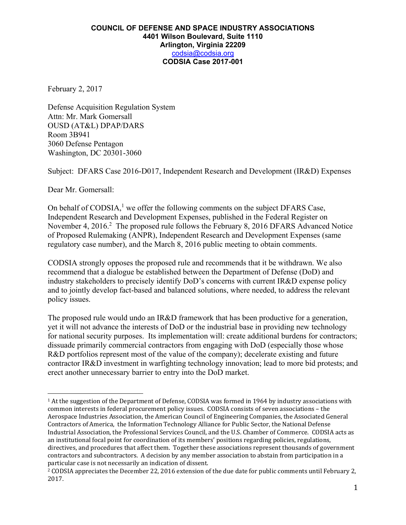February 2, 2017

Defense Acquisition Regulation System Attn: Mr. Mark Gomersall OUSD (AT&L) DPAP/DARS Room 3B941 3060 Defense Pentagon Washington, DC 20301-3060

Subject: DFARS Case 2016-D017, Independent Research and Development (IR&D) Expenses

Dear Mr. Gomersall:

 

On behalf of CODSIA, $<sup>1</sup>$  we offer the following comments on the subject DFARS Case,</sup> Independent Research and Development Expenses, published in the Federal Register on November 4, 2016.<sup>2</sup> The proposed rule follows the February 8, 2016 DFARS Advanced Notice of Proposed Rulemaking (ANPR), Independent Research and Development Expenses (same regulatory case number), and the March 8, 2016 public meeting to obtain comments.

CODSIA strongly opposes the proposed rule and recommends that it be withdrawn. We also recommend that a dialogue be established between the Department of Defense (DoD) and industry stakeholders to precisely identify DoD's concerns with current IR&D expense policy and to jointly develop fact-based and balanced solutions, where needed, to address the relevant policy issues.

The proposed rule would undo an IR&D framework that has been productive for a generation, yet it will not advance the interests of DoD or the industrial base in providing new technology for national security purposes. Its implementation will: create additional burdens for contractors; dissuade primarily commercial contractors from engaging with DoD (especially those whose R&D portfolios represent most of the value of the company); decelerate existing and future contractor IR&D investment in warfighting technology innovation; lead to more bid protests; and erect another unnecessary barrier to entry into the DoD market.

<sup>&</sup>lt;sup>1</sup> At the suggestion of the Department of Defense, CODSIA was formed in 1964 by industry associations with common interests in federal procurement policy issues. CODSIA consists of seven associations - the Aerospace Industries Association, the American Council of Engineering Companies, the Associated General Contractors of America, the Information Technology Alliance for Public Sector, the National Defense Industrial Association, the Professional Services Council, and the U.S. Chamber of Commerce. CODSIA acts as an institutional focal point for coordination of its members' positions regarding policies, regulations, directives, and procedures that affect them. Together these associations represent thousands of government contractors and subcontractors. A decision by any member association to abstain from participation in a particular case is not necessarily an indication of dissent.

<sup>&</sup>lt;sup>2</sup> CODSIA appreciates the December 22, 2016 extension of the due date for public comments until February 2, 2017.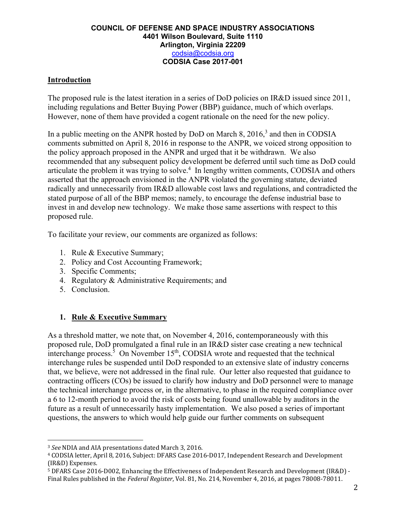## **Introduction**

The proposed rule is the latest iteration in a series of DoD policies on IR&D issued since 2011, including regulations and Better Buying Power (BBP) guidance, much of which overlaps. However, none of them have provided a cogent rationale on the need for the new policy.

In a public meeting on the ANPR hosted by DoD on March 8,  $2016<sup>3</sup>$  and then in CODSIA comments submitted on April 8, 2016 in response to the ANPR, we voiced strong opposition to the policy approach proposed in the ANPR and urged that it be withdrawn. We also recommended that any subsequent policy development be deferred until such time as DoD could articulate the problem it was trying to solve.<sup>4</sup> In lengthy written comments, CODSIA and others asserted that the approach envisioned in the ANPR violated the governing statute, deviated radically and unnecessarily from IR&D allowable cost laws and regulations, and contradicted the stated purpose of all of the BBP memos; namely, to encourage the defense industrial base to invest in and develop new technology. We make those same assertions with respect to this proposed rule.

To facilitate your review, our comments are organized as follows:

- 1. Rule & Executive Summary;
- 2. Policy and Cost Accounting Framework;
- 3. Specific Comments;
- 4. Regulatory & Administrative Requirements; and
- 5. Conclusion.

## **1. Rule & Executive Summary**

As a threshold matter, we note that, on November 4, 2016, contemporaneously with this proposed rule, DoD promulgated a final rule in an IR&D sister case creating a new technical interchange process.<sup>5</sup> On November  $15<sup>th</sup>$ , CODSIA wrote and requested that the technical interchange rules be suspended until DoD responded to an extensive slate of industry concerns that, we believe, were not addressed in the final rule. Our letter also requested that guidance to contracting officers (COs) be issued to clarify how industry and DoD personnel were to manage the technical interchange process or, in the alternative, to phase in the required compliance over a 6 to 12-month period to avoid the risk of costs being found unallowable by auditors in the future as a result of unnecessarily hasty implementation. We also posed a series of important questions, the answers to which would help guide our further comments on subsequent

<sup>&</sup>lt;sup>3</sup> *See* NDIA and AIA presentations dated March 3, 2016.

<sup>&</sup>lt;sup>4</sup> CODSIA letter, April 8, 2016, Subject: DFARS Case 2016-D017, Independent Research and Development (IR&D) Expenses.

<sup>&</sup>lt;sup>5</sup> DFARS Case 2016-D002, Enhancing the Effectiveness of Independent Research and Development (IR&D) -Final Rules published in the *Federal Register*, Vol. 81, No. 214, November 4, 2016, at pages 78008-78011.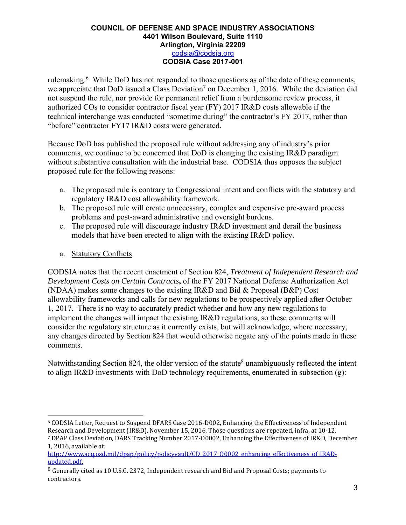rulemaking.<sup>6</sup> While DoD has not responded to those questions as of the date of these comments, we appreciate that DoD issued a Class Deviation<sup>7</sup> on December 1, 2016. While the deviation did not suspend the rule, nor provide for permanent relief from a burdensome review process, it authorized COs to consider contractor fiscal year (FY) 2017 IR&D costs allowable if the technical interchange was conducted "sometime during" the contractor's FY 2017, rather than "before" contractor FY17 IR&D costs were generated.

Because DoD has published the proposed rule without addressing any of industry's prior comments, we continue to be concerned that DoD is changing the existing IR&D paradigm without substantive consultation with the industrial base. CODSIA thus opposes the subject proposed rule for the following reasons:

- a. The proposed rule is contrary to Congressional intent and conflicts with the statutory and regulatory IR&D cost allowability framework.
- b. The proposed rule will create unnecessary, complex and expensive pre-award process problems and post-award administrative and oversight burdens.
- c. The proposed rule will discourage industry IR&D investment and derail the business models that have been erected to align with the existing IR&D policy.
- a. Statutory Conflicts

 

CODSIA notes that the recent enactment of Section 824, *Treatment of Independent Research and Development Costs on Certain Contracts***,** of the FY 2017 National Defense Authorization Act (NDAA) makes some changes to the existing IR&D and Bid & Proposal (B&P) Cost allowability frameworks and calls for new regulations to be prospectively applied after October 1, 2017. There is no way to accurately predict whether and how any new regulations to implement the changes will impact the existing IR&D regulations, so these comments will consider the regulatory structure as it currently exists, but will acknowledge, where necessary, any changes directed by Section 824 that would otherwise negate any of the points made in these comments.

Notwithstanding Section 824, the older version of the statute<sup>8</sup> unambiguously reflected the intent to align IR&D investments with DoD technology requirements, enumerated in subsection (g):

<sup>&</sup>lt;sup>6</sup> CODSIA Letter, Request to Suspend DFARS Case 2016-D002, Enhancing the Effectiveness of Independent Research and Development (IR&D), November 15, 2016. Those questions are repeated, infra, at 10-12. <sup>7</sup> DPAP Class Deviation, DARS Tracking Number 2017-00002, Enhancing the Effectiveness of IR&D, December

<sup>1, 2016,</sup> available at: http://www.acq.osd.mil/dpap/policy/policyvault/CD\_2017\_00002\_enhancing\_effectiveness\_of\_IRAD-

updated.pdf.

<sup>&</sup>lt;sup>8</sup> Generally cited as 10 U.S.C. 2372. Independent research and Bid and Proposal Costs; payments to contractors.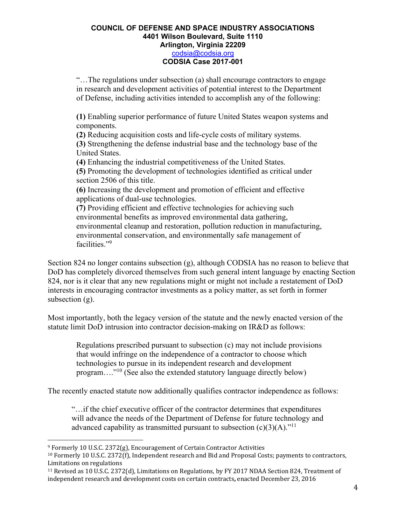"…The regulations under subsection (a) shall encourage contractors to engage in research and development activities of potential interest to the Department of Defense, including activities intended to accomplish any of the following:

**(1)** Enabling superior performance of future United States weapon systems and components.

**(2)** Reducing acquisition costs and life-cycle costs of military systems.

**(3)** Strengthening the defense industrial base and the technology base of the United States.

**(4)** Enhancing the industrial competitiveness of the United States.

**(5)** Promoting the development of technologies identified as critical under section 2506 of this title.

**(6)** Increasing the development and promotion of efficient and effective applications of dual-use technologies.

**(7)** Providing efficient and effective technologies for achieving such environmental benefits as improved environmental data gathering, environmental cleanup and restoration, pollution reduction in manufacturing, environmental conservation, and environmentally safe management of facilities."9

Section 824 no longer contains subsection (g), although CODSIA has no reason to believe that DoD has completely divorced themselves from such general intent language by enacting Section 824, nor is it clear that any new regulations might or might not include a restatement of DoD interests in encouraging contractor investments as a policy matter, as set forth in former subsection (g).

Most importantly, both the legacy version of the statute and the newly enacted version of the statute limit DoD intrusion into contractor decision-making on IR&D as follows:

Regulations prescribed pursuant to subsection (c) may not include provisions that would infringe on the independence of a contractor to choose which technologies to pursue in its independent research and development program…."10 (See also the extended statutory language directly below)

The recently enacted statute now additionally qualifies contractor independence as follows:

"…if the chief executive officer of the contractor determines that expenditures will advance the needs of the Department of Defense for future technology and advanced capability as transmitted pursuant to subsection  $(c)(3)(A)$ ."<sup>11</sup>

 $9$  Formerly 10 U.S.C. 2372(g), Encouragement of Certain Contractor Activities

<sup>&</sup>lt;sup>10</sup> Formerly 10 U.S.C. 2372(f), Independent research and Bid and Proposal Costs; payments to contractors, Limitations on regulations

<sup>&</sup>lt;sup>11</sup> Revised as 10 U.S.C. 2372(d), Limitations on Regulations, by FY 2017 NDAA Section 824, Treatment of independent research and development costs on certain contracts, enacted December 23, 2016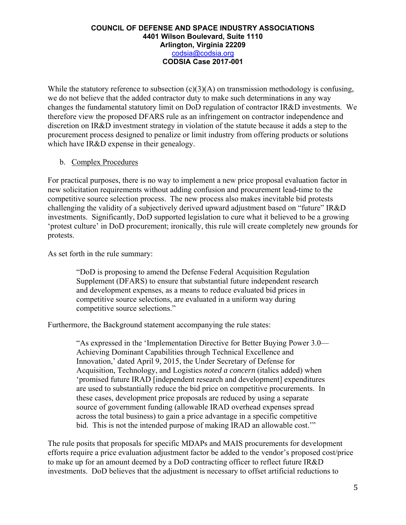While the statutory reference to subsection  $(c)(3)(A)$  on transmission methodology is confusing, we do not believe that the added contractor duty to make such determinations in any way changes the fundamental statutory limit on DoD regulation of contractor IR&D investments. We therefore view the proposed DFARS rule as an infringement on contractor independence and discretion on IR&D investment strategy in violation of the statute because it adds a step to the procurement process designed to penalize or limit industry from offering products or solutions which have IR&D expense in their genealogy.

## b. Complex Procedures

For practical purposes, there is no way to implement a new price proposal evaluation factor in new solicitation requirements without adding confusion and procurement lead-time to the competitive source selection process. The new process also makes inevitable bid protests challenging the validity of a subjectively derived upward adjustment based on "future" IR&D investments. Significantly, DoD supported legislation to cure what it believed to be a growing 'protest culture' in DoD procurement; ironically, this rule will create completely new grounds for protests.

As set forth in the rule summary:

"DoD is proposing to amend the Defense Federal Acquisition Regulation Supplement (DFARS) to ensure that substantial future independent research and development expenses, as a means to reduce evaluated bid prices in competitive source selections, are evaluated in a uniform way during competitive source selections."

Furthermore, the Background statement accompanying the rule states:

"As expressed in the 'Implementation Directive for Better Buying Power 3.0— Achieving Dominant Capabilities through Technical Excellence and Innovation,' dated April 9, 2015, the Under Secretary of Defense for Acquisition, Technology, and Logistics *noted a concern* (italics added) when 'promised future IRAD [independent research and development] expenditures are used to substantially reduce the bid price on competitive procurements. In these cases, development price proposals are reduced by using a separate source of government funding (allowable IRAD overhead expenses spread across the total business) to gain a price advantage in a specific competitive bid. This is not the intended purpose of making IRAD an allowable cost."

The rule posits that proposals for specific MDAPs and MAIS procurements for development efforts require a price evaluation adjustment factor be added to the vendor's proposed cost/price to make up for an amount deemed by a DoD contracting officer to reflect future IR&D investments. DoD believes that the adjustment is necessary to offset artificial reductions to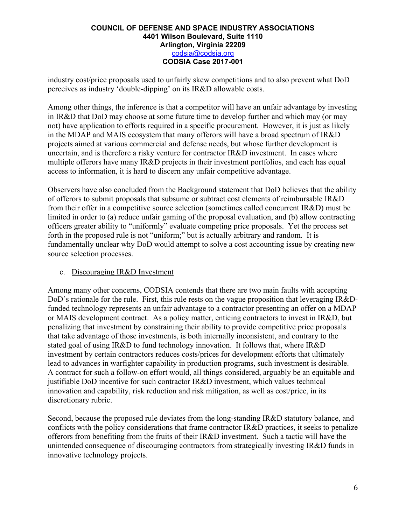industry cost/price proposals used to unfairly skew competitions and to also prevent what DoD perceives as industry 'double-dipping' on its IR&D allowable costs.

Among other things, the inference is that a competitor will have an unfair advantage by investing in IR&D that DoD may choose at some future time to develop further and which may (or may not) have application to efforts required in a specific procurement. However, it is just as likely in the MDAP and MAIS ecosystem that many offerors will have a broad spectrum of IR&D projects aimed at various commercial and defense needs, but whose further development is uncertain, and is therefore a risky venture for contractor IR&D investment. In cases where multiple offerors have many IR&D projects in their investment portfolios, and each has equal access to information, it is hard to discern any unfair competitive advantage.

Observers have also concluded from the Background statement that DoD believes that the ability of offerors to submit proposals that subsume or subtract cost elements of reimbursable IR&D from their offer in a competitive source selection (sometimes called concurrent IR&D) must be limited in order to (a) reduce unfair gaming of the proposal evaluation, and (b) allow contracting officers greater ability to "uniformly" evaluate competing price proposals. Yet the process set forth in the proposed rule is not "uniform;" but is actually arbitrary and random. It is fundamentally unclear why DoD would attempt to solve a cost accounting issue by creating new source selection processes.

## c. Discouraging IR&D Investment

Among many other concerns, CODSIA contends that there are two main faults with accepting DoD's rationale for the rule. First, this rule rests on the vague proposition that leveraging IR&Dfunded technology represents an unfair advantage to a contractor presenting an offer on a MDAP or MAIS development contract. As a policy matter, enticing contractors to invest in IR&D, but penalizing that investment by constraining their ability to provide competitive price proposals that take advantage of those investments, is both internally inconsistent, and contrary to the stated goal of using IR&D to fund technology innovation. It follows that, where IR&D investment by certain contractors reduces costs/prices for development efforts that ultimately lead to advances in warfighter capability in production programs, such investment is desirable. A contract for such a follow-on effort would, all things considered, arguably be an equitable and justifiable DoD incentive for such contractor IR&D investment, which values technical innovation and capability, risk reduction and risk mitigation, as well as cost/price, in its discretionary rubric.

Second, because the proposed rule deviates from the long-standing IR&D statutory balance, and conflicts with the policy considerations that frame contractor IR&D practices, it seeks to penalize offerors from benefiting from the fruits of their IR&D investment. Such a tactic will have the unintended consequence of discouraging contractors from strategically investing IR&D funds in innovative technology projects.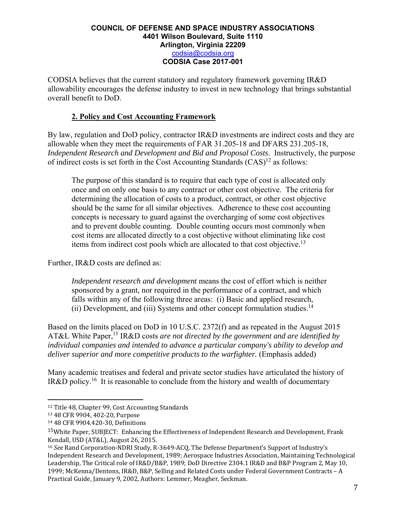CODSIA believes that the current statutory and regulatory framework governing IR&D allowability encourages the defense industry to invest in new technology that brings substantial overall benefit to DoD.

## **2. Policy and Cost Accounting Framework**

By law, regulation and DoD policy, contractor IR&D investments are indirect costs and they are allowable when they meet the requirements of FAR 31.205-18 and DFARS 231.205-18, *Independent Research and Development and Bid and Proposal Costs*. Instructively, the purpose of indirect costs is set forth in the Cost Accounting Standards  $(CAS)^{12}$  as follows:

The purpose of this standard is to require that each type of cost is allocated only once and on only one basis to any contract or other cost objective. The criteria for determining the allocation of costs to a product, contract, or other cost objective should be the same for all similar objectives. Adherence to these cost accounting concepts is necessary to guard against the overcharging of some cost objectives and to prevent double counting. Double counting occurs most commonly when cost items are allocated directly to a cost objective without eliminating like cost items from indirect cost pools which are allocated to that cost objective.<sup>13</sup>

Further, IR&D costs are defined as:

*Independent research and development* means the cost of effort which is neither sponsored by a grant, nor required in the performance of a contract, and which falls within any of the following three areas: (i) Basic and applied research, (ii) Development, and (iii) Systems and other concept formulation studies.<sup>14</sup>

Based on the limits placed on DoD in 10 U.S.C. 2372(f) and as repeated in the August 2015 AT&L White Paper,<sup>15</sup> IR&D costs *are not directed by the government and are identified by individual companies and intended to advance a particular company's ability to develop and deliver superior and more competitive products to the warfighter.* (Emphasis added)

Many academic treatises and federal and private sector studies have articulated the history of IR&D policy.16 It is reasonable to conclude from the history and wealth of documentary

<sup>&</sup>lt;sup>12</sup> Title 48, Chapter 99, Cost Accounting Standards

<sup>13 48</sup> CFR 9904, 402-20, Purpose

<sup>14 48</sup> CFR 9904.420-30, Definitions

<sup>&</sup>lt;sup>15</sup>White Paper, SUBJECT: Enhancing the Effectiveness of Independent Research and Development, Frank Kendall, USD (AT&L), August 26, 2015.

<sup>&</sup>lt;sup>16</sup> *See* Rand Corporation-NDRI Study, R-3649-ACQ, The Defense Department's Support of Industry's Independent Research and Development, 1989; Aerospace Industries Association, Maintaining Technological Leadership, The Critical role of IR&D/B&P, 1989; DoD Directive 2304.1 IR&D and B&P Program 2, May 10, 1999; McKenna/Dentons, IR&D, B&P, Selling and Related Costs under Federal Government Contracts - A Practical Guide, January 9, 2002, Authors: Lemmer, Meagher, Seckman.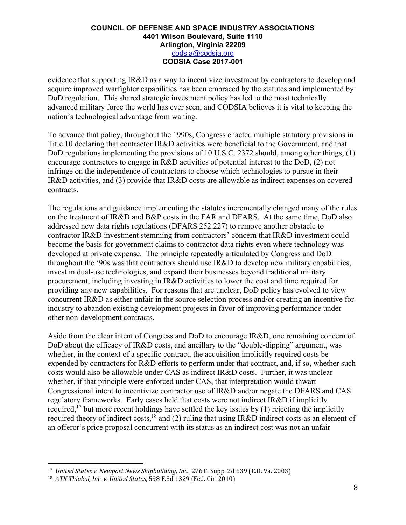evidence that supporting IR&D as a way to incentivize investment by contractors to develop and acquire improved warfighter capabilities has been embraced by the statutes and implemented by DoD regulation. This shared strategic investment policy has led to the most technically advanced military force the world has ever seen, and CODSIA believes it is vital to keeping the nation's technological advantage from waning.

To advance that policy, throughout the 1990s, Congress enacted multiple statutory provisions in Title 10 declaring that contractor IR&D activities were beneficial to the Government, and that DoD regulations implementing the provisions of 10 U.S.C. 2372 should, among other things, (1) encourage contractors to engage in R&D activities of potential interest to the DoD, (2) not infringe on the independence of contractors to choose which technologies to pursue in their IR&D activities, and (3) provide that IR&D costs are allowable as indirect expenses on covered contracts.

The regulations and guidance implementing the statutes incrementally changed many of the rules on the treatment of IR&D and B&P costs in the FAR and DFARS. At the same time, DoD also addressed new data rights regulations (DFARS 252.227) to remove another obstacle to contractor IR&D investment stemming from contractors' concern that IR&D investment could become the basis for government claims to contractor data rights even where technology was developed at private expense. The principle repeatedly articulated by Congress and DoD throughout the '90s was that contractors should use IR&D to develop new military capabilities, invest in dual-use technologies, and expand their businesses beyond traditional military procurement, including investing in IR&D activities to lower the cost and time required for providing any new capabilities. For reasons that are unclear, DoD policy has evolved to view concurrent IR&D as either unfair in the source selection process and/or creating an incentive for industry to abandon existing development projects in favor of improving performance under other non-development contracts.

Aside from the clear intent of Congress and DoD to encourage IR&D, one remaining concern of DoD about the efficacy of IR&D costs, and ancillary to the "double-dipping" argument, was whether, in the context of a specific contract, the acquisition implicitly required costs be expended by contractors for R&D efforts to perform under that contract, and, if so, whether such costs would also be allowable under CAS as indirect IR&D costs. Further, it was unclear whether, if that principle were enforced under CAS, that interpretation would thwart Congressional intent to incentivize contractor use of IR&D and/or negate the DFARS and CAS regulatory frameworks. Early cases held that costs were not indirect IR&D if implicitly required,<sup>17</sup> but more recent holdings have settled the key issues by (1) rejecting the implicitly required theory of indirect costs,<sup>18</sup> and (2) ruling that using IR&D indirect costs as an element of an offeror's price proposal concurrent with its status as an indirect cost was not an unfair

<sup>17</sup> *United States v. Newport News Shipbuilding, Inc.*, 276 F. Supp. 2d 539 (E.D. Va. 2003) 

<sup>18</sup> *ATK Thiokol, Inc. v. United States*, 598 F.3d 1329 (Fed. Cir. 2010)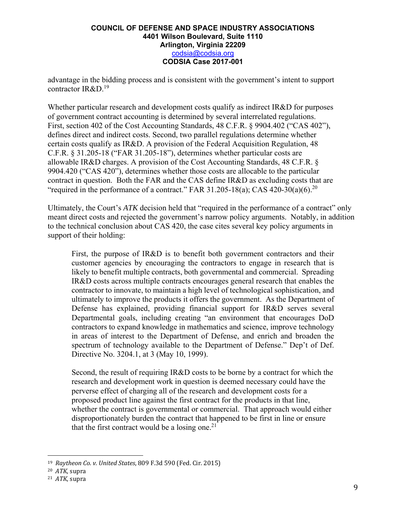advantage in the bidding process and is consistent with the government's intent to support contractor IR&D.<sup>19</sup>

Whether particular research and development costs qualify as indirect IR&D for purposes of government contract accounting is determined by several interrelated regulations. First, section 402 of the Cost Accounting Standards, 48 C.F.R. § 9904.402 ("CAS 402"), defines direct and indirect costs. Second, two parallel regulations determine whether certain costs qualify as IR&D. A provision of the Federal Acquisition Regulation, 48 C.F.R. § 31.205-18 ("FAR 31.205-18"), determines whether particular costs are allowable IR&D charges. A provision of the Cost Accounting Standards, 48 C.F.R. § 9904.420 ("CAS 420"), determines whether those costs are allocable to the particular contract in question. Both the FAR and the CAS define IR&D as excluding costs that are "required in the performance of a contract." FAR 31.205-18(a); CAS 420-30(a)(6).<sup>20</sup>

Ultimately, the Court's *ATK* decision held that "required in the performance of a contract" only meant direct costs and rejected the government's narrow policy arguments. Notably, in addition to the technical conclusion about CAS 420, the case cites several key policy arguments in support of their holding:

First, the purpose of IR&D is to benefit both government contractors and their customer agencies by encouraging the contractors to engage in research that is likely to benefit multiple contracts, both governmental and commercial. Spreading IR&D costs across multiple contracts encourages general research that enables the contractor to innovate, to maintain a high level of technological sophistication, and ultimately to improve the products it offers the government. As the Department of Defense has explained, providing financial support for IR&D serves several Departmental goals, including creating "an environment that encourages DoD contractors to expand knowledge in mathematics and science, improve technology in areas of interest to the Department of Defense, and enrich and broaden the spectrum of technology available to the Department of Defense." Dep't of Def. Directive No. 3204.1, at 3 (May 10, 1999).

Second, the result of requiring IR&D costs to be borne by a contract for which the research and development work in question is deemed necessary could have the perverse effect of charging all of the research and development costs for a proposed product line against the first contract for the products in that line, whether the contract is governmental or commercial. That approach would either disproportionately burden the contract that happened to be first in line or ensure that the first contract would be a losing one.<sup>21</sup>

<sup>19</sup> *Raytheon Co. v. United States*, 809 F.3d 590 (Fed. Cir. 2015)

<sup>20</sup> *ATK*, supra 

<sup>&</sup>lt;sup>21</sup> *ATK*, supra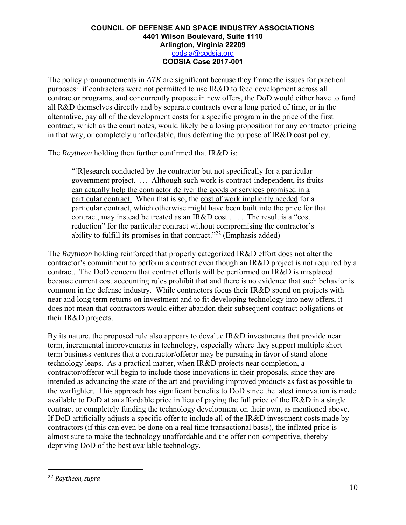The policy pronouncements in *ATK* are significant because they frame the issues for practical purposes: if contractors were not permitted to use IR&D to feed development across all contractor programs, and concurrently propose in new offers, the DoD would either have to fund all R&D themselves directly and by separate contracts over a long period of time, or in the alternative, pay all of the development costs for a specific program in the price of the first contract, which as the court notes, would likely be a losing proposition for any contractor pricing in that way, or completely unaffordable, thus defeating the purpose of IR&D cost policy.

The *Raytheon* holding then further confirmed that IR&D is:

"[R]esearch conducted by the contractor but not specifically for a particular government project. … Although such work is contract-independent, its fruits can actually help the contractor deliver the goods or services promised in a particular contract. When that is so, the cost of work implicitly needed for a particular contract, which otherwise might have been built into the price for that contract, may instead be treated as an IR&D cost . . . . The result is a "cost reduction" for the particular contract without compromising the contractor's ability to fulfill its promises in that contract."<sup>22</sup> (Emphasis added)

The *Raytheon* holding reinforced that properly categorized IR&D effort does not alter the contractor's commitment to perform a contract even though an IR&D project is not required by a contract. The DoD concern that contract efforts will be performed on IR&D is misplaced because current cost accounting rules prohibit that and there is no evidence that such behavior is common in the defense industry. While contractors focus their IR&D spend on projects with near and long term returns on investment and to fit developing technology into new offers, it does not mean that contractors would either abandon their subsequent contract obligations or their IR&D projects.

By its nature, the proposed rule also appears to devalue IR&D investments that provide near term, incremental improvements in technology, especially where they support multiple short term business ventures that a contractor/offeror may be pursuing in favor of stand-alone technology leaps. As a practical matter, when IR&D projects near completion, a contractor/offeror will begin to include those innovations in their proposals, since they are intended as advancing the state of the art and providing improved products as fast as possible to the warfighter. This approach has significant benefits to DoD since the latest innovation is made available to DoD at an affordable price in lieu of paying the full price of the IR&D in a single contract or completely funding the technology development on their own, as mentioned above. If DoD artificially adjusts a specific offer to include all of the IR&D investment costs made by contractors (if this can even be done on a real time transactional basis), the inflated price is almost sure to make the technology unaffordable and the offer non-competitive, thereby depriving DoD of the best available technology.

<sup>22</sup> *Raytheon, supra*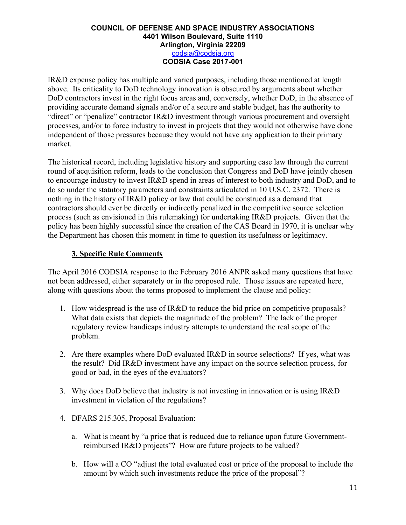IR&D expense policy has multiple and varied purposes, including those mentioned at length above. Its criticality to DoD technology innovation is obscured by arguments about whether DoD contractors invest in the right focus areas and, conversely, whether DoD, in the absence of providing accurate demand signals and/or of a secure and stable budget, has the authority to "direct" or "penalize" contractor IR&D investment through various procurement and oversight processes, and/or to force industry to invest in projects that they would not otherwise have done independent of those pressures because they would not have any application to their primary market.

The historical record, including legislative history and supporting case law through the current round of acquisition reform, leads to the conclusion that Congress and DoD have jointly chosen to encourage industry to invest IR&D spend in areas of interest to both industry and DoD, and to do so under the statutory parameters and constraints articulated in 10 U.S.C. 2372. There is nothing in the history of IR&D policy or law that could be construed as a demand that contractors should ever be directly or indirectly penalized in the competitive source selection process (such as envisioned in this rulemaking) for undertaking IR&D projects. Given that the policy has been highly successful since the creation of the CAS Board in 1970, it is unclear why the Department has chosen this moment in time to question its usefulness or legitimacy.

# **3. Specific Rule Comments**

The April 2016 CODSIA response to the February 2016 ANPR asked many questions that have not been addressed, either separately or in the proposed rule. Those issues are repeated here, along with questions about the terms proposed to implement the clause and policy:

- 1. How widespread is the use of IR&D to reduce the bid price on competitive proposals? What data exists that depicts the magnitude of the problem? The lack of the proper regulatory review handicaps industry attempts to understand the real scope of the problem.
- 2. Are there examples where DoD evaluated IR&D in source selections? If yes, what was the result? Did IR&D investment have any impact on the source selection process, for good or bad, in the eyes of the evaluators?
- 3. Why does DoD believe that industry is not investing in innovation or is using IR&D investment in violation of the regulations?
- 4. DFARS 215.305, Proposal Evaluation:
	- a. What is meant by "a price that is reduced due to reliance upon future Governmentreimbursed IR&D projects"? How are future projects to be valued?
	- b. How will a CO "adjust the total evaluated cost or price of the proposal to include the amount by which such investments reduce the price of the proposal"?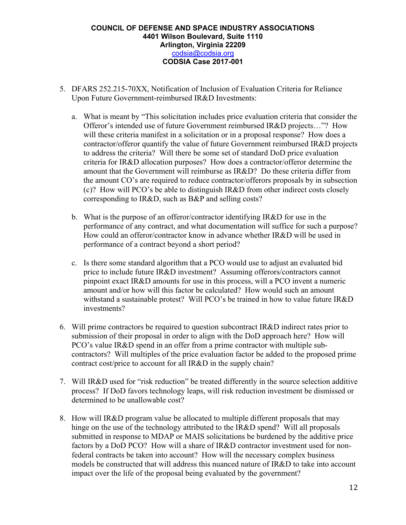- 5. DFARS 252.215-70XX, Notification of Inclusion of Evaluation Criteria for Reliance Upon Future Government-reimbursed IR&D Investments:
	- a. What is meant by "This solicitation includes price evaluation criteria that consider the Offeror's intended use of future Government reimbursed IR&D projects…"? How will these criteria manifest in a solicitation or in a proposal response? How does a contractor/offeror quantify the value of future Government reimbursed IR&D projects to address the criteria? Will there be some set of standard DoD price evaluation criteria for IR&D allocation purposes? How does a contractor/offeror determine the amount that the Government will reimburse as IR&D? Do these criteria differ from the amount CO's are required to reduce contractor/offerors proposals by in subsection (c)? How will PCO's be able to distinguish IR&D from other indirect costs closely corresponding to IR&D, such as B&P and selling costs?
	- b. What is the purpose of an offeror/contractor identifying IR&D for use in the performance of any contract, and what documentation will suffice for such a purpose? How could an offeror/contractor know in advance whether IR&D will be used in performance of a contract beyond a short period?
	- c. Is there some standard algorithm that a PCO would use to adjust an evaluated bid price to include future IR&D investment? Assuming offerors/contractors cannot pinpoint exact IR&D amounts for use in this process, will a PCO invent a numeric amount and/or how will this factor be calculated? How would such an amount withstand a sustainable protest? Will PCO's be trained in how to value future IR&D investments?
- 6. Will prime contractors be required to question subcontract IR&D indirect rates prior to submission of their proposal in order to align with the DoD approach here? How will PCO's value IR&D spend in an offer from a prime contractor with multiple subcontractors? Will multiples of the price evaluation factor be added to the proposed prime contract cost/price to account for all IR&D in the supply chain?
- 7. Will IR&D used for "risk reduction" be treated differently in the source selection additive process? If DoD favors technology leaps, will risk reduction investment be dismissed or determined to be unallowable cost?
- 8. How will IR&D program value be allocated to multiple different proposals that may hinge on the use of the technology attributed to the IR&D spend? Will all proposals submitted in response to MDAP or MAIS solicitations be burdened by the additive price factors by a DoD PCO? How will a share of IR&D contractor investment used for nonfederal contracts be taken into account? How will the necessary complex business models be constructed that will address this nuanced nature of IR&D to take into account impact over the life of the proposal being evaluated by the government?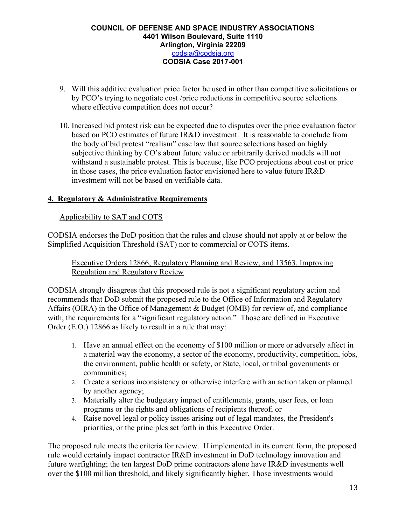- 9. Will this additive evaluation price factor be used in other than competitive solicitations or by PCO's trying to negotiate cost /price reductions in competitive source selections where effective competition does not occur?
- 10. Increased bid protest risk can be expected due to disputes over the price evaluation factor based on PCO estimates of future IR&D investment. It is reasonable to conclude from the body of bid protest "realism" case law that source selections based on highly subjective thinking by CO's about future value or arbitrarily derived models will not withstand a sustainable protest. This is because, like PCO projections about cost or price in those cases, the price evaluation factor envisioned here to value future IR&D investment will not be based on verifiable data.

## **4. Regulatory & Administrative Requirements**

## Applicability to SAT and COTS

CODSIA endorses the DoD position that the rules and clause should not apply at or below the Simplified Acquisition Threshold (SAT) nor to commercial or COTS items.

Executive Orders 12866, Regulatory Planning and Review, and 13563, Improving Regulation and Regulatory Review

CODSIA strongly disagrees that this proposed rule is not a significant regulatory action and recommends that DoD submit the proposed rule to the Office of Information and Regulatory Affairs (OIRA) in the Office of Management & Budget (OMB) for review of, and compliance with, the requirements for a "significant regulatory action." Those are defined in Executive Order (E.O.) 12866 as likely to result in a rule that may:

- 1. Have an annual effect on the economy of \$100 million or more or adversely affect in a material way the economy, a sector of the economy, productivity, competition, jobs, the environment, public health or safety, or State, local, or tribal governments or communities;
- 2. Create a serious inconsistency or otherwise interfere with an action taken or planned by another agency;
- 3. Materially alter the budgetary impact of entitlements, grants, user fees, or loan programs or the rights and obligations of recipients thereof; or
- 4. Raise novel legal or policy issues arising out of legal mandates, the President's priorities, or the principles set forth in this Executive Order.

The proposed rule meets the criteria for review. If implemented in its current form, the proposed rule would certainly impact contractor IR&D investment in DoD technology innovation and future warfighting; the ten largest DoD prime contractors alone have IR&D investments well over the \$100 million threshold, and likely significantly higher. Those investments would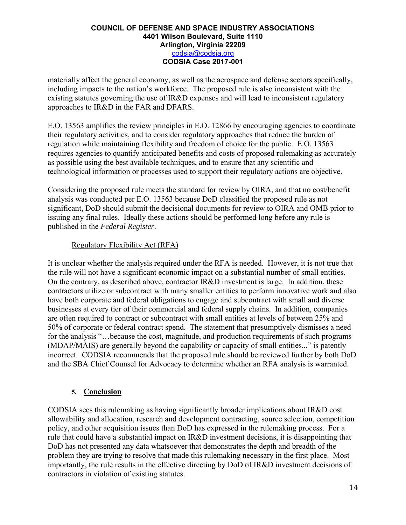materially affect the general economy, as well as the aerospace and defense sectors specifically, including impacts to the nation's workforce. The proposed rule is also inconsistent with the existing statutes governing the use of IR&D expenses and will lead to inconsistent regulatory approaches to IR&D in the FAR and DFARS.

E.O. 13563 amplifies the review principles in E.O. 12866 by encouraging agencies to coordinate their regulatory activities, and to consider regulatory approaches that reduce the burden of regulation while maintaining flexibility and freedom of choice for the public. E.O. 13563 requires agencies to quantify anticipated benefits and costs of proposed rulemaking as accurately as possible using the best available techniques, and to ensure that any scientific and technological information or processes used to support their regulatory actions are objective.

Considering the proposed rule meets the standard for review by OIRA, and that no cost/benefit analysis was conducted per E.O. 13563 because DoD classified the proposed rule as not significant, DoD should submit the decisional documents for review to OIRA and OMB prior to issuing any final rules. Ideally these actions should be performed long before any rule is published in the *Federal Register*.

# Regulatory Flexibility Act (RFA)

It is unclear whether the analysis required under the RFA is needed. However, it is not true that the rule will not have a significant economic impact on a substantial number of small entities. On the contrary, as described above, contractor IR&D investment is large. In addition, these contractors utilize or subcontract with many smaller entities to perform innovative work and also have both corporate and federal obligations to engage and subcontract with small and diverse businesses at every tier of their commercial and federal supply chains. In addition, companies are often required to contract or subcontract with small entities at levels of between 25% and 50% of corporate or federal contract spend. The statement that presumptively dismisses a need for the analysis "…because the cost, magnitude, and production requirements of such programs (MDAP/MAIS) are generally beyond the capability or capacity of small entities..." is patently incorrect. CODSIA recommends that the proposed rule should be reviewed further by both DoD and the SBA Chief Counsel for Advocacy to determine whether an RFA analysis is warranted.

## **5. Conclusion**

CODSIA sees this rulemaking as having significantly broader implications about IR&D cost allowability and allocation, research and development contracting, source selection, competition policy, and other acquisition issues than DoD has expressed in the rulemaking process. For a rule that could have a substantial impact on IR&D investment decisions, it is disappointing that DoD has not presented any data whatsoever that demonstrates the depth and breadth of the problem they are trying to resolve that made this rulemaking necessary in the first place. Most importantly, the rule results in the effective directing by DoD of IR&D investment decisions of contractors in violation of existing statutes.